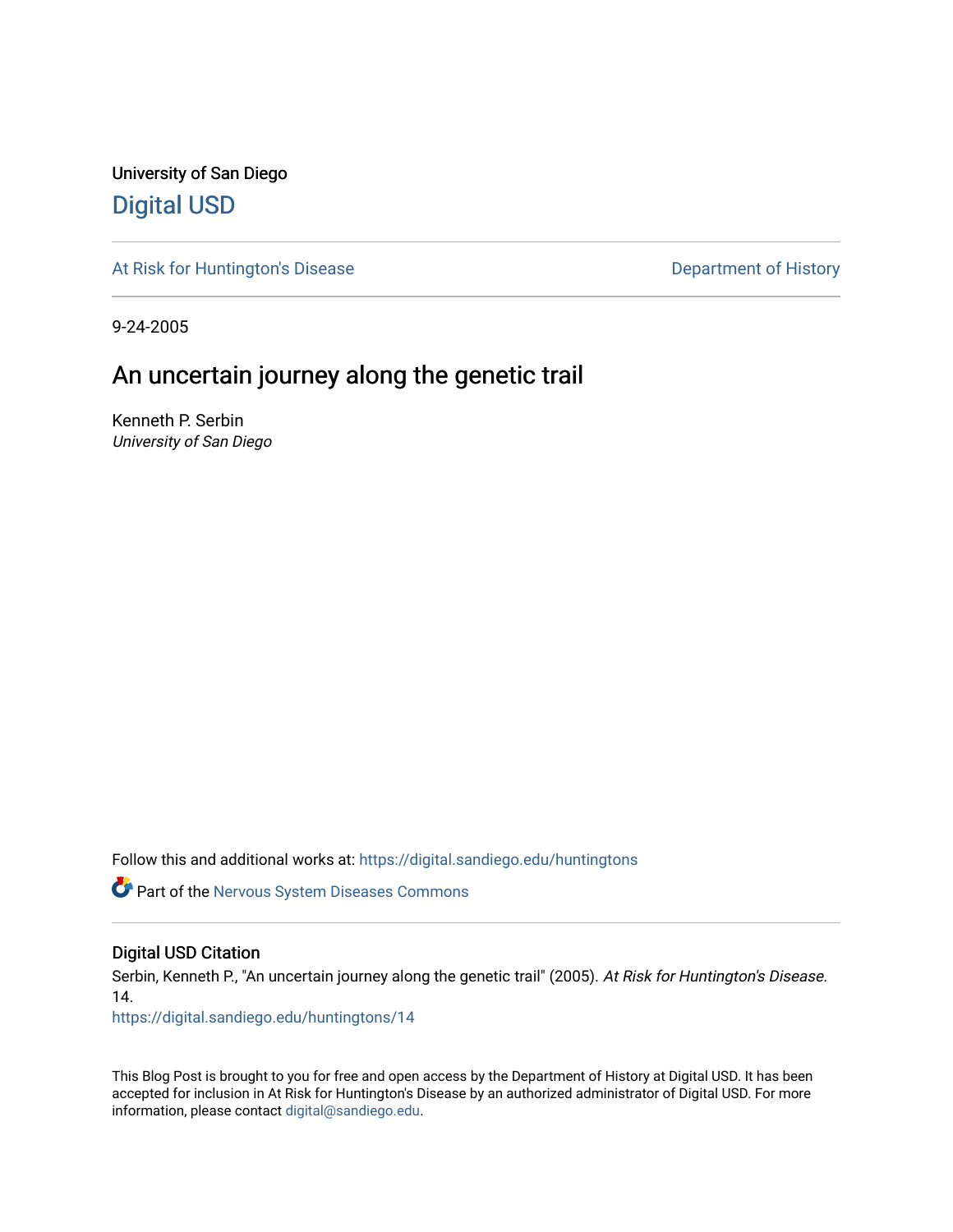University of San Diego [Digital USD](https://digital.sandiego.edu/)

[At Risk for Huntington's Disease](https://digital.sandiego.edu/huntingtons) **Department of History** Department of History

9-24-2005

# An uncertain journey along the genetic trail

Kenneth P. Serbin University of San Diego

Follow this and additional works at: [https://digital.sandiego.edu/huntingtons](https://digital.sandiego.edu/huntingtons?utm_source=digital.sandiego.edu%2Fhuntingtons%2F14&utm_medium=PDF&utm_campaign=PDFCoverPages)

**C** Part of the [Nervous System Diseases Commons](http://network.bepress.com/hgg/discipline/928?utm_source=digital.sandiego.edu%2Fhuntingtons%2F14&utm_medium=PDF&utm_campaign=PDFCoverPages)

# Digital USD Citation

Serbin, Kenneth P., "An uncertain journey along the genetic trail" (2005). At Risk for Huntington's Disease. 14.

[https://digital.sandiego.edu/huntingtons/14](https://digital.sandiego.edu/huntingtons/14?utm_source=digital.sandiego.edu%2Fhuntingtons%2F14&utm_medium=PDF&utm_campaign=PDFCoverPages)

This Blog Post is brought to you for free and open access by the Department of History at Digital USD. It has been accepted for inclusion in At Risk for Huntington's Disease by an authorized administrator of Digital USD. For more information, please contact [digital@sandiego.edu.](mailto:digital@sandiego.edu)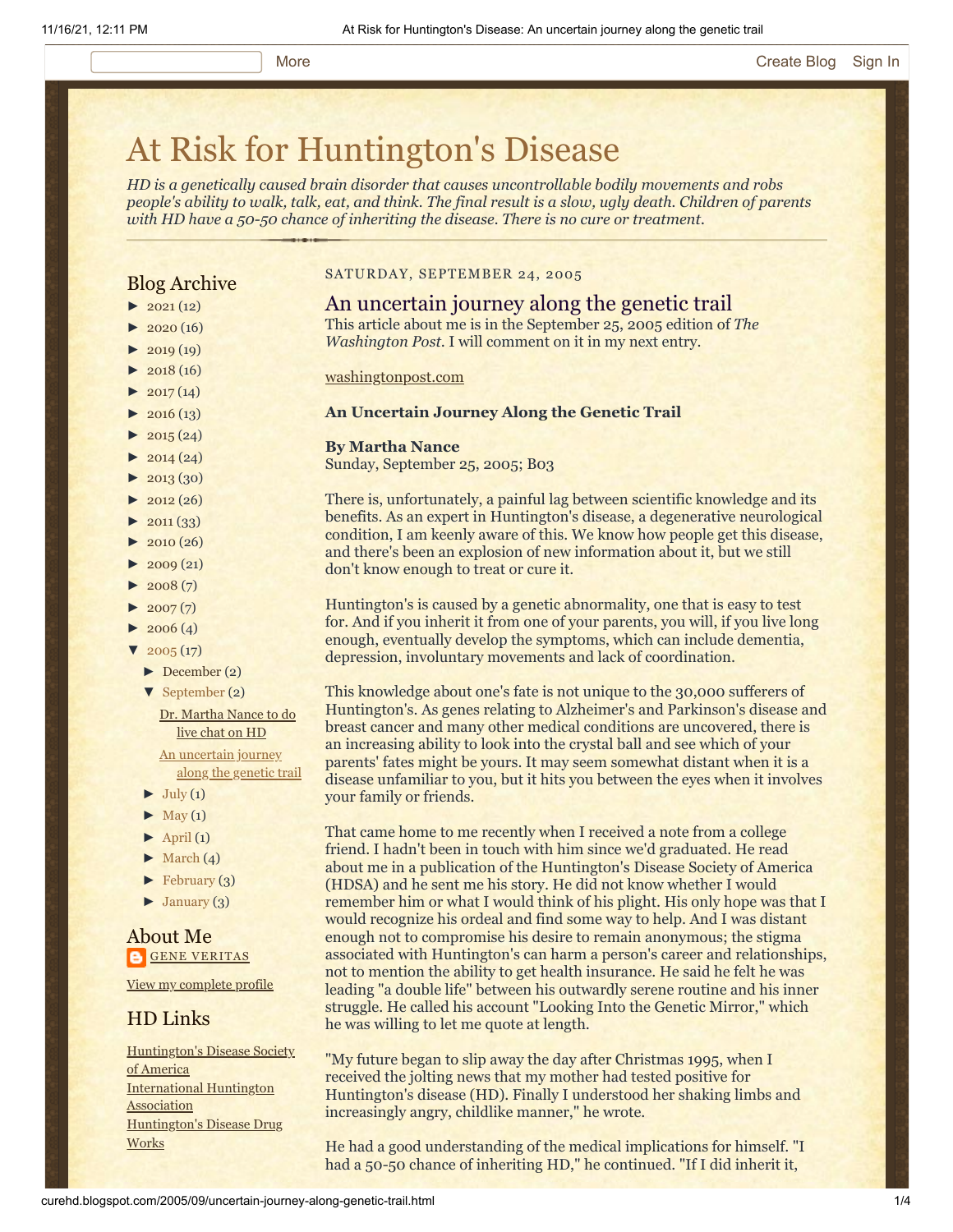# [At Risk for Huntington's Disease](http://curehd.blogspot.com/)

*HD is a genetically caused brain disorder that causes uncontrollable bodily movements and robs people's ability to walk, talk, eat, and think. The final result is a slow, ugly death. Children of parents with HD have a 50-50 chance of inheriting the disease. There is no cure or treatment.*

# Blog Archive

- $\blacktriangleright$  [2021](http://curehd.blogspot.com/2021/)(12)
- $\blacktriangleright$  [2020](http://curehd.blogspot.com/2020/) (16)
- $\blacktriangleright$  [2019](http://curehd.blogspot.com/2019/) (19)
- $\blacktriangleright$  [2018](http://curehd.blogspot.com/2018/) (16)
- $\blacktriangleright$  [2017](http://curehd.blogspot.com/2017/) (14)
- $\blacktriangleright$  [2016](http://curehd.blogspot.com/2016/) (13)
- $\blacktriangleright$  [2015](http://curehd.blogspot.com/2015/) (24)
- $\blacktriangleright$  [2014](http://curehd.blogspot.com/2014/) (24)
- $\blacktriangleright$  [2013](http://curehd.blogspot.com/2013/) (30)
- $\blacktriangleright$  [2012](http://curehd.blogspot.com/2012/) (26)
- $\blacktriangleright$  [2011](http://curehd.blogspot.com/2011/) (33)
- $\blacktriangleright$  [2010](http://curehd.blogspot.com/2010/) (26)
- $\blacktriangleright$  [2009](http://curehd.blogspot.com/2009/) (21)
- $\blacktriangleright$  [2008](http://curehd.blogspot.com/2008/) $(7)$
- $\blacktriangleright$  [2007](http://curehd.blogspot.com/2007/) $(7)$
- $\blacktriangleright$  [2006](http://curehd.blogspot.com/2006/) (4)
- $\sqrt{2005(17)}$  $\sqrt{2005(17)}$  $\sqrt{2005(17)}$ 
	- [►](javascript:void(0)) [December](http://curehd.blogspot.com/2005/12/) (2)
	- [▼](javascript:void(0)) [September](http://curehd.blogspot.com/2005/09/) (2)
	- Dr. [Martha](http://curehd.blogspot.com/2005/09/dr-martha-nance-to-do-live-chat-on-hd.html) Nance to do live chat on HD An [uncertain](http://curehd.blogspot.com/2005/09/uncertain-journey-along-genetic-trail.html) journey

along the genetic trail

- $\blacktriangleright$  [July](http://curehd.blogspot.com/2005/07/) (1)
- $\blacktriangleright$  [May](http://curehd.blogspot.com/2005/05/) (1)
- $\blacktriangleright$  [April](http://curehd.blogspot.com/2005/04/) (1)
- $\blacktriangleright$  [March](http://curehd.blogspot.com/2005/03/) (4)
- $\blacktriangleright$  [February](http://curehd.blogspot.com/2005/02/) (3)
- $\blacktriangleright$  [January](http://curehd.blogspot.com/2005/01/) (3)

About Me **GENE [VERITAS](https://www.blogger.com/profile/10911736205741688185)** 

View my [complete](https://www.blogger.com/profile/10911736205741688185) profile

# HD Links

[Huntington's](http://www.hdsa.org/) Disease Society of America [International](http://www.huntington-assoc.com/) Huntington **Association** [Huntington's](http://hddrugworks.org/) Disease Drug **Works** 

### SATURDAY, SEPTEMBER 24, 2005

- An uncertain journey along the genetic trail This article about me is in the September 25, 2005 edition of *The*
- *Washington Post*. I will comment on it in my next entry.
- [washingtonpost.com](http://www.washingtonpost.com/)

#### **An Uncertain Journey Along the Genetic Trail**

#### **By Martha Nance**

Sunday, September 25, 2005; B03

There is, unfortunately, a painful lag between scientific knowledge and its benefits. As an expert in Huntington's disease, a degenerative neurological condition, I am keenly aware of this. We know how people get this disease, and there's been an explosion of new information about it, but we still don't know enough to treat or cure it.

Huntington's is caused by a genetic abnormality, one that is easy to test for. And if you inherit it from one of your parents, you will, if you live long enough, eventually develop the symptoms, which can include dementia, depression, involuntary movements and lack of coordination.

This knowledge about one's fate is not unique to the 30,000 sufferers of Huntington's. As genes relating to Alzheimer's and Parkinson's disease and breast cancer and many other medical conditions are uncovered, there is an increasing ability to look into the crystal ball and see which of your parents' fates might be yours. It may seem somewhat distant when it is a disease unfamiliar to you, but it hits you between the eyes when it involves your family or friends.

That came home to me recently when I received a note from a college friend. I hadn't been in touch with him since we'd graduated. He read about me in a publication of the Huntington's Disease Society of America (HDSA) and he sent me his story. He did not know whether I would remember him or what I would think of his plight. His only hope was that I would recognize his ordeal and find some way to help. And I was distant enough not to compromise his desire to remain anonymous; the stigma associated with Huntington's can harm a person's career and relationships, not to mention the ability to get health insurance. He said he felt he was leading "a double life" between his outwardly serene routine and his inner struggle. He called his account "Looking Into the Genetic Mirror," which he was willing to let me quote at length.

"My future began to slip away the day after Christmas 1995, when I received the jolting news that my mother had tested positive for Huntington's disease (HD). Finally I understood her shaking limbs and increasingly angry, childlike manner," he wrote.

He had a good understanding of the medical implications for himself. "I had a 50-50 chance of inheriting HD," he continued. "If I did inherit it,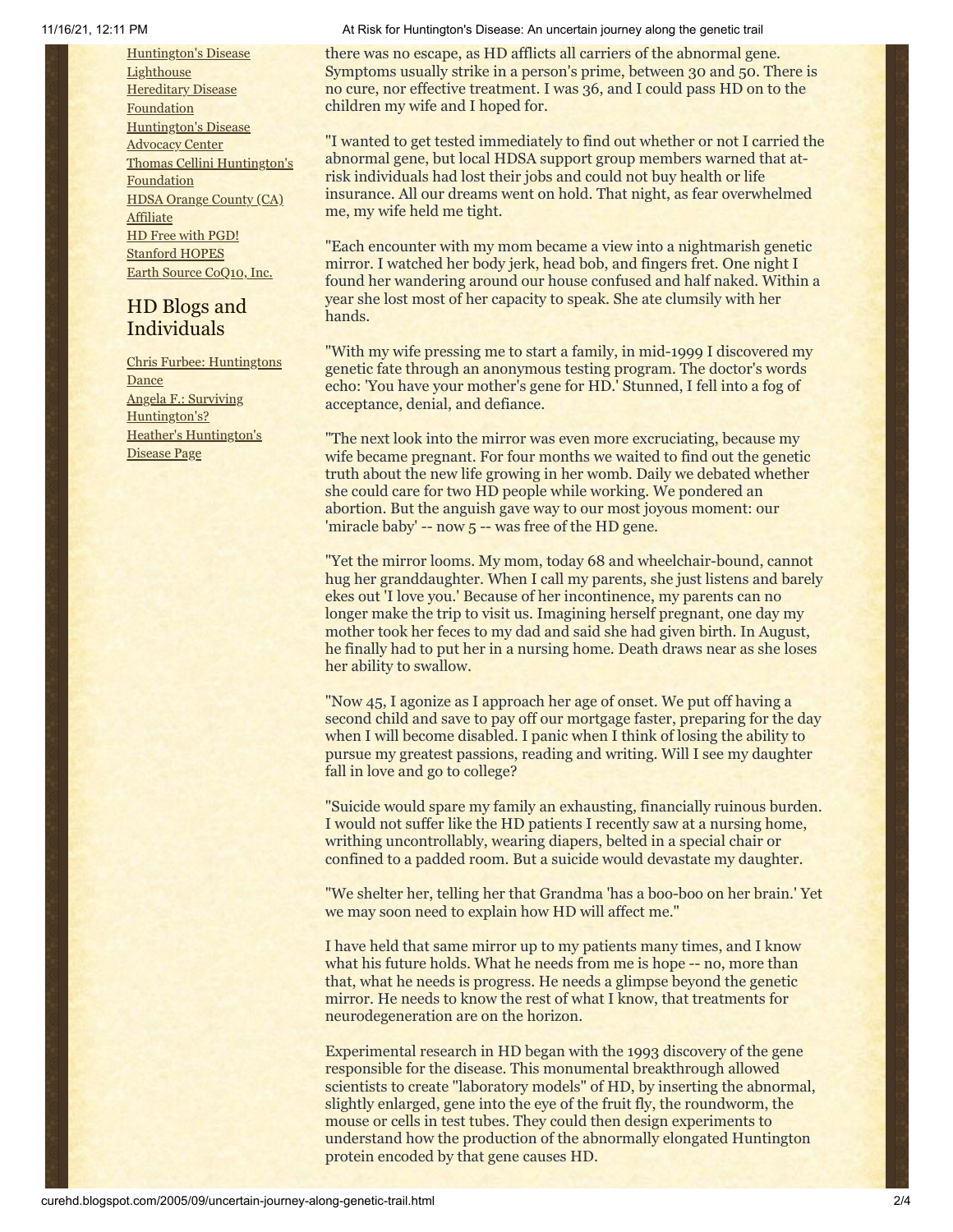[Huntington's](http://www.hdlighthouse.org/) Disease **Lighthouse Hereditary Disease [Foundation](http://www.hdfoundation.org/)** [Huntington's](http://www.hdac.org/) Disease Advocacy Center Thomas [Cellini Huntington's](http://www.ourtchfoundation.org/) **Foundation** HDSA [Orange](http://www.hdsaoc.org/) County (CA) **Affiliate** HD Free with [PGD!](http://www.hdfreewithpgd.com/) [Stanford](http://www.stanford.edu/group/hopes/) HOPES Earth Source [CoQ10,](http://www.escoq10.com/) Inc.

# HD Blogs and Individuals

Chris Furbee: [Huntingtons](http://www.huntingtonsdance.org/) Dance Angela F.: Surviving [Huntington's?](http://survivinghuntingtons.blogspot.com/) Heather's [Huntington's](http://heatherdugdale.angelfire.com/) Disease Page

#### 11/16/21, 12:11 PM At Risk for Huntington's Disease: An uncertain journey along the genetic trail

there was no escape, as HD afflicts all carriers of the abnormal gene. Symptoms usually strike in a person's prime, between 30 and 50. There is no cure, nor effective treatment. I was 36, and I could pass HD on to the children my wife and I hoped for.

"I wanted to get tested immediately to find out whether or not I carried the abnormal gene, but local HDSA support group members warned that atrisk individuals had lost their jobs and could not buy health or life insurance. All our dreams went on hold. That night, as fear overwhelmed me, my wife held me tight.

"Each encounter with my mom became a view into a nightmarish genetic mirror. I watched her body jerk, head bob, and fingers fret. One night I found her wandering around our house confused and half naked. Within a year she lost most of her capacity to speak. She ate clumsily with her hands.

"With my wife pressing me to start a family, in mid-1999 I discovered my genetic fate through an anonymous testing program. The doctor's words echo: 'You have your mother's gene for HD.' Stunned, I fell into a fog of acceptance, denial, and defiance.

"The next look into the mirror was even more excruciating, because my wife became pregnant. For four months we waited to find out the genetic truth about the new life growing in her womb. Daily we debated whether she could care for two HD people while working. We pondered an abortion. But the anguish gave way to our most joyous moment: our 'miracle baby' -- now 5 -- was free of the HD gene.

"Yet the mirror looms. My mom, today 68 and wheelchair-bound, cannot hug her granddaughter. When I call my parents, she just listens and barely ekes out 'I love you.' Because of her incontinence, my parents can no longer make the trip to visit us. Imagining herself pregnant, one day my mother took her feces to my dad and said she had given birth. In August, he finally had to put her in a nursing home. Death draws near as she loses her ability to swallow.

"Now 45, I agonize as I approach her age of onset. We put off having a second child and save to pay off our mortgage faster, preparing for the day when I will become disabled. I panic when I think of losing the ability to pursue my greatest passions, reading and writing. Will I see my daughter fall in love and go to college?

"Suicide would spare my family an exhausting, financially ruinous burden. I would not suffer like the HD patients I recently saw at a nursing home, writhing uncontrollably, wearing diapers, belted in a special chair or confined to a padded room. But a suicide would devastate my daughter.

"We shelter her, telling her that Grandma 'has a boo-boo on her brain.' Yet we may soon need to explain how HD will affect me."

I have held that same mirror up to my patients many times, and I know what his future holds. What he needs from me is hope -- no, more than that, what he needs is progress. He needs a glimpse beyond the genetic mirror. He needs to know the rest of what I know, that treatments for neurodegeneration are on the horizon.

Experimental research in HD began with the 1993 discovery of the gene responsible for the disease. This monumental breakthrough allowed scientists to create "laboratory models" of HD, by inserting the abnormal, slightly enlarged, gene into the eye of the fruit fly, the roundworm, the mouse or cells in test tubes. They could then design experiments to understand how the production of the abnormally elongated Huntington protein encoded by that gene causes HD.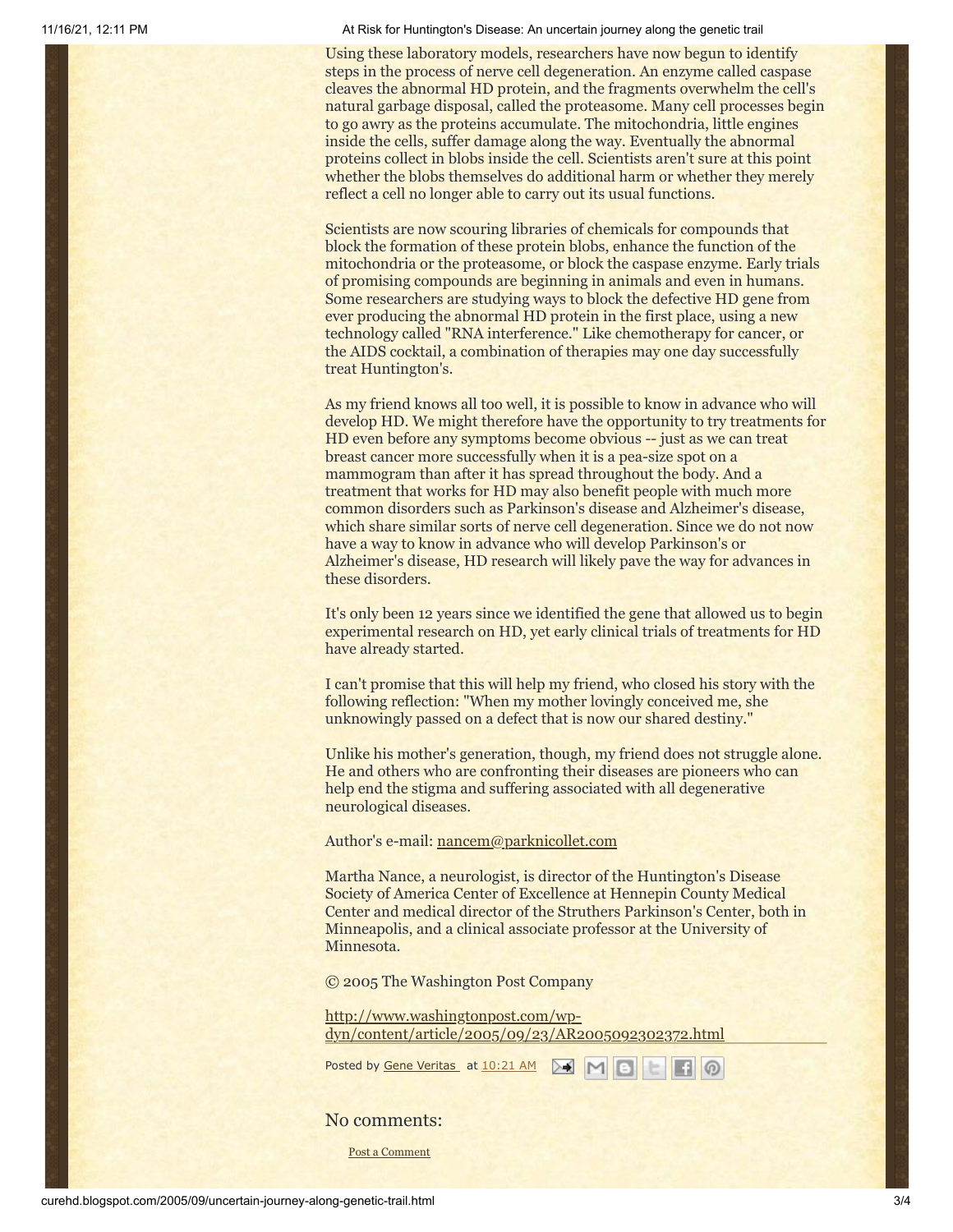11/16/21, 12:11 PM At Risk for Huntington's Disease: An uncertain journey along the genetic trail

Using these laboratory models, researchers have now begun to identify steps in the process of nerve cell degeneration. An enzyme called caspase cleaves the abnormal HD protein, and the fragments overwhelm the cell's natural garbage disposal, called the proteasome. Many cell processes begin to go awry as the proteins accumulate. The mitochondria, little engines inside the cells, suffer damage along the way. Eventually the abnormal proteins collect in blobs inside the cell. Scientists aren't sure at this point whether the blobs themselves do additional harm or whether they merely reflect a cell no longer able to carry out its usual functions.

Scientists are now scouring libraries of chemicals for compounds that block the formation of these protein blobs, enhance the function of the mitochondria or the proteasome, or block the caspase enzyme. Early trials of promising compounds are beginning in animals and even in humans. Some researchers are studying ways to block the defective HD gene from ever producing the abnormal HD protein in the first place, using a new technology called "RNA interference." Like chemotherapy for cancer, or the AIDS cocktail, a combination of therapies may one day successfully treat Huntington's.

As my friend knows all too well, it is possible to know in advance who will develop HD. We might therefore have the opportunity to try treatments for HD even before any symptoms become obvious -- just as we can treat breast cancer more successfully when it is a pea-size spot on a mammogram than after it has spread throughout the body. And a treatment that works for HD may also benefit people with much more common disorders such as Parkinson's disease and Alzheimer's disease, which share similar sorts of nerve cell degeneration. Since we do not now have a way to know in advance who will develop Parkinson's or Alzheimer's disease, HD research will likely pave the way for advances in these disorders.

It's only been 12 years since we identified the gene that allowed us to begin experimental research on HD, yet early clinical trials of treatments for HD have already started.

I can't promise that this will help my friend, who closed his story with the following reflection: "When my mother lovingly conceived me, she unknowingly passed on a defect that is now our shared destiny."

Unlike his mother's generation, though, my friend does not struggle alone. He and others who are confronting their diseases are pioneers who can help end the stigma and suffering associated with all degenerative neurological diseases.

Author's e-mail: [nancem@parknicollet.com](mailto:nancem@parknicollet.com)

Martha Nance, a neurologist, is director of the Huntington's Disease Society of America Center of Excellence at Hennepin County Medical Center and medical director of the Struthers Parkinson's Center, both in Minneapolis, and a clinical associate professor at the University of Minnesota.

© 2005 The Washington Post Company

http://www.washingtonpost.com/wp[dyn/content/article/2005/09/23/AR2005092302372.html](http://www.washingtonpost.com/wp-dyn/content/article/2005/09/23/AR2005092302372.html)

Posted by Gene [Veritas](https://www.blogger.com/profile/03599828959793084715) at [10:21](http://curehd.blogspot.com/2005/09/uncertain-journey-along-genetic-trail.html) AM

No comments:

Post a [Comment](https://www.blogger.com/comment.g?blogID=10081281&postID=112758300147982246&isPopup=true)